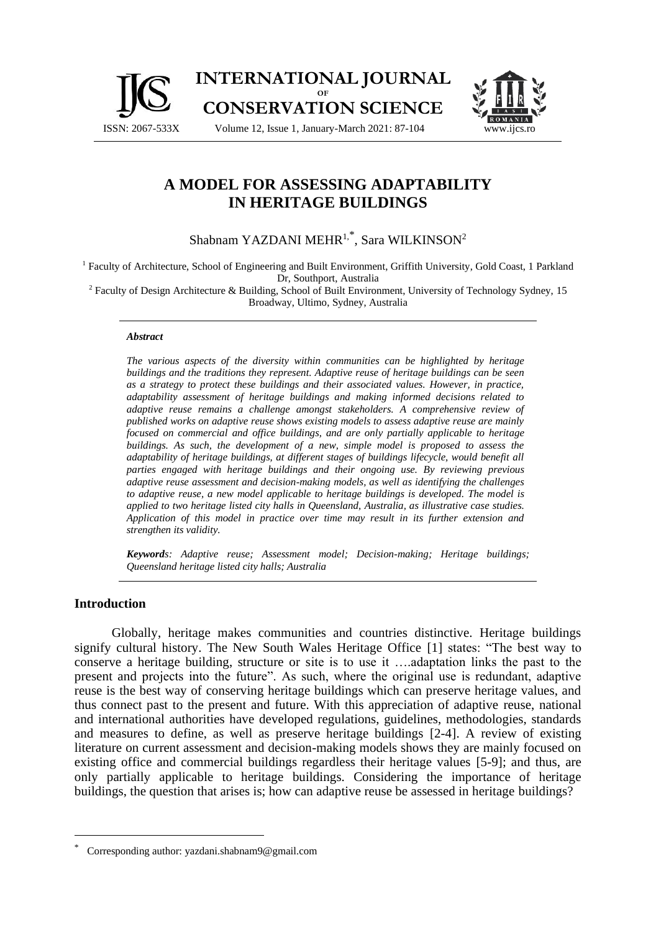



# **A MODEL FOR ASSESSING ADAPTABILITY IN HERITAGE BUILDINGS**

## Shabnam YAZDANI MEHR $^{1, \ast}$ , Sara WILKINSON $^{2}$

<sup>1</sup> Faculty of Architecture, School of Engineering and Built Environment, Griffith University, Gold Coast, 1 Parkland Dr, Southport, Australia

<sup>2</sup> Faculty of Design Architecture & Building, School of Built Environment, University of Technology Sydney, 15 Broadway, Ultimo, Sydney, Australia

#### *Abstract*

*The various aspects of the diversity within communities can be highlighted by heritage buildings and the traditions they represent. Adaptive reuse of heritage buildings can be seen as a strategy to protect these buildings and their associated values. However, in practice, adaptability assessment of heritage buildings and making informed decisions related to adaptive reuse remains a challenge amongst stakeholders. A comprehensive review of published works on adaptive reuse shows existing models to assess adaptive reuse are mainly focused on commercial and office buildings, and are only partially applicable to heritage buildings. As such, the development of a new, simple model is proposed to assess the adaptability of heritage buildings, at different stages of buildings lifecycle, would benefit all parties engaged with heritage buildings and their ongoing use. By reviewing previous adaptive reuse assessment and decision-making models, as well as identifying the challenges to adaptive reuse, a new model applicable to heritage buildings is developed. The model is applied to two heritage listed city halls in Queensland, Australia, as illustrative case studies. Application of this model in practice over time may result in its further extension and strengthen its validity.*

*Keywords: Adaptive reuse; Assessment model; Decision-making; Heritage buildings; Queensland heritage listed city halls; Australia*

#### **Introduction**

Globally, heritage makes communities and countries distinctive. Heritage buildings signify cultural history. The New South Wales Heritage Office [1] states: "The best way to conserve a heritage building, structure or site is to use it ….adaptation links the past to the present and projects into the future". As such, where the original use is redundant, adaptive reuse is the best way of conserving heritage buildings which can preserve heritage values, and thus connect past to the present and future. With this appreciation of adaptive reuse, national and international authorities have developed regulations, guidelines, methodologies, standards and measures to define, as well as preserve heritage buildings [2-4]. A review of existing literature on current assessment and decision-making models shows they are mainly focused on existing office and commercial buildings regardless their heritage values [5-9]; and thus, are only partially applicable to heritage buildings. Considering the importance of heritage buildings, the question that arises is; how can adaptive reuse be assessed in heritage buildings?

<sup>\*</sup> Corresponding author: [yazdani.shabnam9@gmail.com](mailto:yazdani.shabnam9@gmail.com)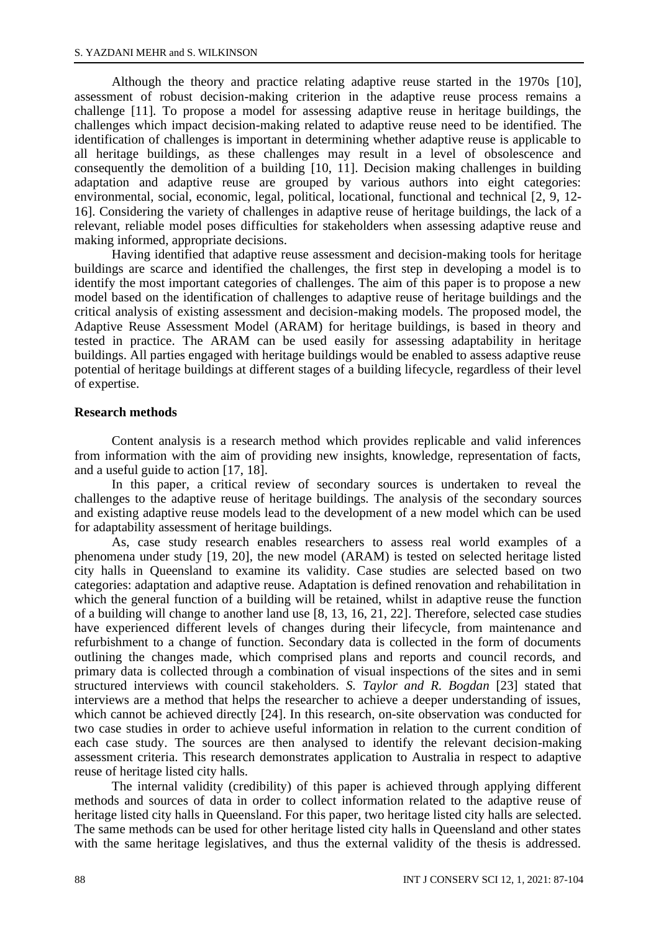Although the theory and practice relating adaptive reuse started in the 1970s [10], assessment of robust decision-making criterion in the adaptive reuse process remains a challenge [11]. To propose a model for assessing adaptive reuse in heritage buildings, the challenges which impact decision-making related to adaptive reuse need to be identified. The identification of challenges is important in determining whether adaptive reuse is applicable to all heritage buildings, as these challenges may result in a level of obsolescence and consequently the demolition of a building [10, 11]. Decision making challenges in building adaptation and adaptive reuse are grouped by various authors into eight categories: environmental, social, economic, legal, political, locational, functional and technical [2, 9, 12- 16]. Considering the variety of challenges in adaptive reuse of heritage buildings, the lack of a relevant, reliable model poses difficulties for stakeholders when assessing adaptive reuse and making informed, appropriate decisions.

Having identified that adaptive reuse assessment and decision-making tools for heritage buildings are scarce and identified the challenges, the first step in developing a model is to identify the most important categories of challenges. The aim of this paper is to propose a new model based on the identification of challenges to adaptive reuse of heritage buildings and the critical analysis of existing assessment and decision-making models. The proposed model, the Adaptive Reuse Assessment Model (ARAM) for heritage buildings, is based in theory and tested in practice. The ARAM can be used easily for assessing adaptability in heritage buildings. All parties engaged with heritage buildings would be enabled to assess adaptive reuse potential of heritage buildings at different stages of a building lifecycle, regardless of their level of expertise.

#### **Research methods**

Content analysis is a research method which provides replicable and valid inferences from information with the aim of providing new insights, knowledge, representation of facts, and a useful guide to action [17, 18].

In this paper, a critical review of secondary sources is undertaken to reveal the challenges to the adaptive reuse of heritage buildings. The analysis of the secondary sources and existing adaptive reuse models lead to the development of a new model which can be used for adaptability assessment of heritage buildings.

As, case study research enables researchers to assess real world examples of a phenomena under study [19, 20], the new model (ARAM) is tested on selected heritage listed city halls in Queensland to examine its validity. Case studies are selected based on two categories: adaptation and adaptive reuse. Adaptation is defined renovation and rehabilitation in which the general function of a building will be retained, whilst in adaptive reuse the function of a building will change to another land use [8, 13, 16, 21, 22]. Therefore, selected case studies have experienced different levels of changes during their lifecycle, from maintenance and refurbishment to a change of function. Secondary data is collected in the form of documents outlining the changes made, which comprised plans and reports and council records, and primary data is collected through a combination of visual inspections of the sites and in semi structured interviews with council stakeholders. *S. Taylor and R. Bogdan* [23] stated that interviews are a method that helps the researcher to achieve a deeper understanding of issues, which cannot be achieved directly [24]. In this research, on-site observation was conducted for two case studies in order to achieve useful information in relation to the current condition of each case study. The sources are then analysed to identify the relevant decision-making assessment criteria. This research demonstrates application to Australia in respect to adaptive reuse of heritage listed city halls.

The internal validity (credibility) of this paper is achieved through applying different methods and sources of data in order to collect information related to the adaptive reuse of heritage listed city halls in Queensland. For this paper, two heritage listed city halls are selected. The same methods can be used for other heritage listed city halls in Queensland and other states with the same heritage legislatives, and thus the external validity of the thesis is addressed.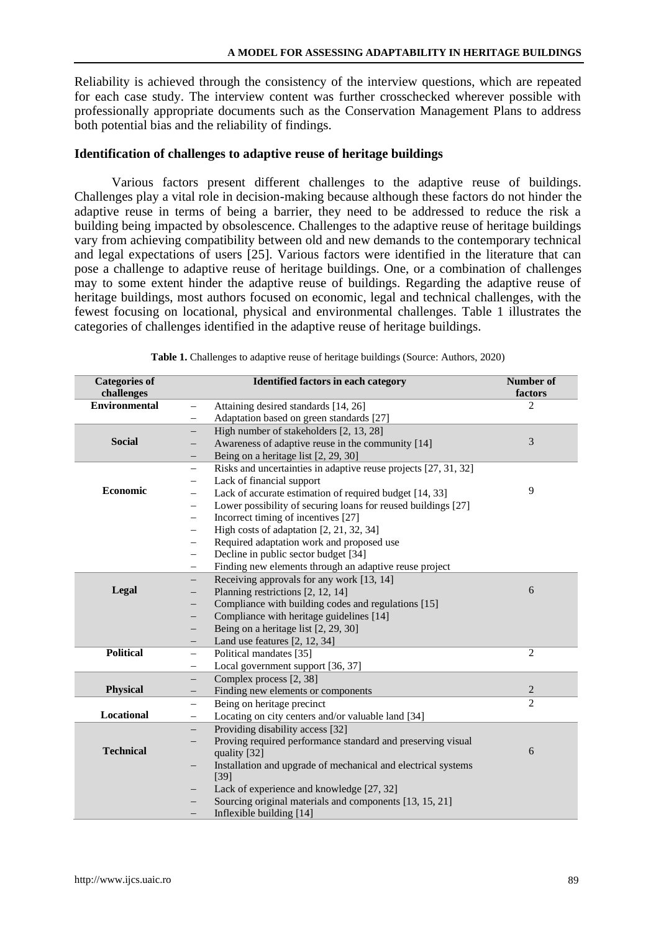Reliability is achieved through the consistency of the interview questions, which are repeated for each case study. The interview content was further crosschecked wherever possible with professionally appropriate documents such as the Conservation Management Plans to address both potential bias and the reliability of findings.

### **Identification of challenges to adaptive reuse of heritage buildings**

Various factors present different challenges to the adaptive reuse of buildings. Challenges play a vital role in decision-making because although these factors do not hinder the adaptive reuse in terms of being a barrier, they need to be addressed to reduce the risk a building being impacted by obsolescence. Challenges to the adaptive reuse of heritage buildings vary from achieving compatibility between old and new demands to the contemporary technical and legal expectations of users [25]. Various factors were identified in the literature that can pose a challenge to adaptive reuse of heritage buildings. One, or a combination of challenges may to some extent hinder the adaptive reuse of buildings. Regarding the adaptive reuse of heritage buildings, most authors focused on economic, legal and technical challenges, with the fewest focusing on locational, physical and environmental challenges. Table 1 illustrates the categories of challenges identified in the adaptive reuse of heritage buildings.

| <b>Categories of</b><br>challenges | <b>Identified factors in each category</b>                                                | Number of<br>factors        |
|------------------------------------|-------------------------------------------------------------------------------------------|-----------------------------|
| <b>Environmental</b>               | Attaining desired standards [14, 26]                                                      | $\mathcal{D}_{\mathcal{L}}$ |
|                                    | Adaptation based on green standards [27]                                                  |                             |
|                                    | High number of stakeholders [2, 13, 28]<br>$\overline{\phantom{0}}$                       |                             |
| <b>Social</b>                      | Awareness of adaptive reuse in the community [14]                                         | 3                           |
|                                    | Being on a heritage list [2, 29, 30]                                                      |                             |
|                                    | Risks and uncertainties in adaptive reuse projects [27, 31, 32]<br>$\qquad \qquad -$      |                             |
|                                    | Lack of financial support<br>$\qquad \qquad -$                                            |                             |
| Economic                           | Lack of accurate estimation of required budget [14, 33]<br>$\overline{\phantom{0}}$       | 9                           |
|                                    | Lower possibility of securing loans for reused buildings [27]<br>$\overline{\phantom{0}}$ |                             |
|                                    | Incorrect timing of incentives [27]<br>$\overline{\phantom{0}}$                           |                             |
|                                    | High costs of adaptation $[2, 21, 32, 34]$<br>$\overline{\phantom{0}}$                    |                             |
|                                    | Required adaptation work and proposed use<br>-                                            |                             |
|                                    | Decline in public sector budget [34]<br>-                                                 |                             |
|                                    | Finding new elements through an adaptive reuse project                                    |                             |
|                                    | Receiving approvals for any work [13, 14]                                                 |                             |
| Legal                              | Planning restrictions [2, 12, 14]                                                         | 6                           |
|                                    | Compliance with building codes and regulations [15]                                       |                             |
|                                    | Compliance with heritage guidelines [14]                                                  |                             |
|                                    | Being on a heritage list [2, 29, 30]                                                      |                             |
|                                    | Land use features $[2, 12, 34]$                                                           |                             |
| <b>Political</b>                   | Political mandates [35]<br>$\overline{\phantom{0}}$                                       | $\overline{c}$              |
|                                    | Local government support [36, 37]<br>$\overline{\phantom{0}}$                             |                             |
|                                    | Complex process [2, 38]<br>$\qquad \qquad -$                                              |                             |
| <b>Physical</b>                    | Finding new elements or components<br>$-$                                                 | $\mathbf{2}$                |
|                                    | Being on heritage precinct<br>$-$                                                         | $\overline{c}$              |
| Locational                         | Locating on city centers and/or valuable land [34]<br>$\equiv$                            |                             |
|                                    | Providing disability access [32]                                                          |                             |
| <b>Technical</b>                   | Proving required performance standard and preserving visual<br>quality [32]               | 6                           |
|                                    | Installation and upgrade of mechanical and electrical systems                             |                             |
|                                    | [39]                                                                                      |                             |
|                                    | Lack of experience and knowledge [27, 32]                                                 |                             |
|                                    | Sourcing original materials and components [13, 15, 21]                                   |                             |
|                                    | Inflexible building [14]                                                                  |                             |

**Table 1.** Challenges to adaptive reuse of heritage buildings (Source: Authors, 2020)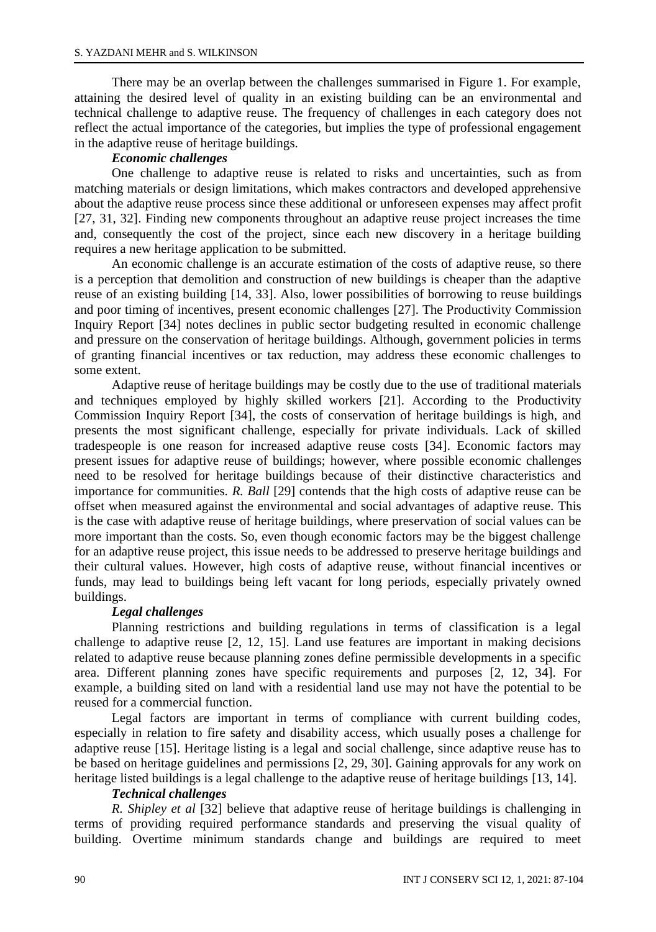There may be an overlap between the challenges summarised in Figure 1. For example, attaining the desired level of quality in an existing building can be an environmental and technical challenge to adaptive reuse. The frequency of challenges in each category does not reflect the actual importance of the categories, but implies the type of professional engagement in the adaptive reuse of heritage buildings.

### *Economic challenges*

One challenge to adaptive reuse is related to risks and uncertainties, such as from matching materials or design limitations, which makes contractors and developed apprehensive about the adaptive reuse process since these additional or unforeseen expenses may affect profit [27, 31, 32]. Finding new components throughout an adaptive reuse project increases the time and, consequently the cost of the project, since each new discovery in a heritage building requires a new heritage application to be submitted.

An economic challenge is an accurate estimation of the costs of adaptive reuse, so there is a perception that demolition and construction of new buildings is cheaper than the adaptive reuse of an existing building [14, 33]. Also, lower possibilities of borrowing to reuse buildings and poor timing of incentives, present economic challenges [27]. The Productivity Commission Inquiry Report [34] notes declines in public sector budgeting resulted in economic challenge and pressure on the conservation of heritage buildings. Although, government policies in terms of granting financial incentives or tax reduction, may address these economic challenges to some extent.

Adaptive reuse of heritage buildings may be costly due to the use of traditional materials and techniques employed by highly skilled workers [21]. According to the Productivity Commission Inquiry Report [34], the costs of conservation of heritage buildings is high, and presents the most significant challenge, especially for private individuals. Lack of skilled tradespeople is one reason for increased adaptive reuse costs [34]. Economic factors may present issues for adaptive reuse of buildings; however, where possible economic challenges need to be resolved for heritage buildings because of their distinctive characteristics and importance for communities. *R. Ball* [29] contends that the high costs of adaptive reuse can be offset when measured against the environmental and social advantages of adaptive reuse. This is the case with adaptive reuse of heritage buildings, where preservation of social values can be more important than the costs. So, even though economic factors may be the biggest challenge for an adaptive reuse project, this issue needs to be addressed to preserve heritage buildings and their cultural values. However, high costs of adaptive reuse, without financial incentives or funds, may lead to buildings being left vacant for long periods, especially privately owned buildings.

### *Legal challenges*

Planning restrictions and building regulations in terms of classification is a legal challenge to adaptive reuse [2, 12, 15]. Land use features are important in making decisions related to adaptive reuse because planning zones define permissible developments in a specific area. Different planning zones have specific requirements and purposes [2, 12, 34]. For example, a building sited on land with a residential land use may not have the potential to be reused for a commercial function.

Legal factors are important in terms of compliance with current building codes, especially in relation to fire safety and disability access, which usually poses a challenge for adaptive reuse [15]. Heritage listing is a legal and social challenge, since adaptive reuse has to be based on heritage guidelines and permissions [2, 29, 30]. Gaining approvals for any work on heritage listed buildings is a legal challenge to the adaptive reuse of heritage buildings [13, 14].

### *Technical challenges*

*R. Shipley et al* [32] believe that adaptive reuse of heritage buildings is challenging in terms of providing required performance standards and preserving the visual quality of building. Overtime minimum standards change and buildings are required to meet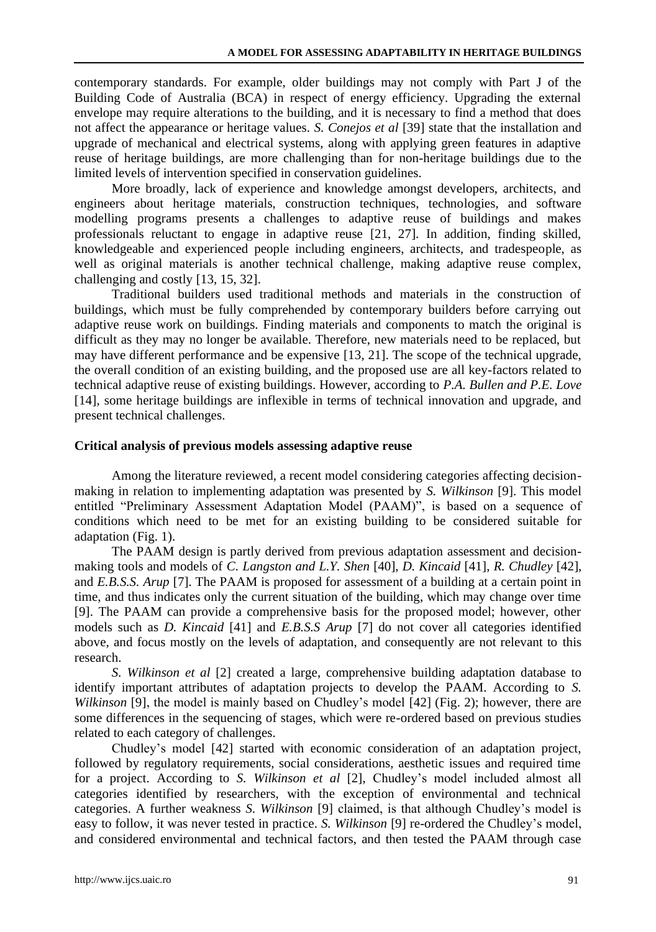contemporary standards. For example, older buildings may not comply with Part J of the Building Code of Australia (BCA) in respect of energy efficiency. Upgrading the external envelope may require alterations to the building, and it is necessary to find a method that does not affect the appearance or heritage values. *S. Conejos et al* [39] state that the installation and upgrade of mechanical and electrical systems, along with applying green features in adaptive reuse of heritage buildings, are more challenging than for non-heritage buildings due to the limited levels of intervention specified in conservation guidelines.

More broadly, lack of experience and knowledge amongst developers, architects, and engineers about heritage materials, construction techniques, technologies, and software modelling programs presents a challenges to adaptive reuse of buildings and makes professionals reluctant to engage in adaptive reuse [21, 27]. In addition, finding skilled, knowledgeable and experienced people including engineers, architects, and tradespeople, as well as original materials is another technical challenge, making adaptive reuse complex, challenging and costly [13, 15, 32].

Traditional builders used traditional methods and materials in the construction of buildings, which must be fully comprehended by contemporary builders before carrying out adaptive reuse work on buildings. Finding materials and components to match the original is difficult as they may no longer be available. Therefore, new materials need to be replaced, but may have different performance and be expensive [13, 21]. The scope of the technical upgrade, the overall condition of an existing building, and the proposed use are all key-factors related to technical adaptive reuse of existing buildings. However, according to *P.A. Bullen and P.E. Love* [14], some heritage buildings are inflexible in terms of technical innovation and upgrade, and present technical challenges.

#### **Critical analysis of previous models assessing adaptive reuse**

Among the literature reviewed, a recent model considering categories affecting decisionmaking in relation to implementing adaptation was presented by *S. Wilkinson* [9]. This model entitled "Preliminary Assessment Adaptation Model (PAAM)", is based on a sequence of conditions which need to be met for an existing building to be considered suitable for adaptation (Fig. 1).

The PAAM design is partly derived from previous adaptation assessment and decisionmaking tools and models of *C. Langston and L.Y. Shen* [40], *D. Kincaid* [41], *R. Chudley* [42], and *E.B.S.S. Arup* [7]. The PAAM is proposed for assessment of a building at a certain point in time, and thus indicates only the current situation of the building, which may change over time [9]. The PAAM can provide a comprehensive basis for the proposed model; however, other models such as *D. Kincaid* [41] and *E.B.S.S Arup* [7] do not cover all categories identified above, and focus mostly on the levels of adaptation, and consequently are not relevant to this research.

*S. Wilkinson et al* [2] created a large, comprehensive building adaptation database to identify important attributes of adaptation projects to develop the PAAM. According to *S. Wilkinson* [9], the model is mainly based on Chudley's model [42] (Fig. 2); however, there are some differences in the sequencing of stages, which were re-ordered based on previous studies related to each category of challenges.

Chudley's model [42] started with economic consideration of an adaptation project, followed by regulatory requirements, social considerations, aesthetic issues and required time for a project. According to *S. Wilkinson et al* [2], Chudley's model included almost all categories identified by researchers, with the exception of environmental and technical categories. A further weakness *S. Wilkinson* [9] claimed, is that although Chudley's model is easy to follow, it was never tested in practice. *S. Wilkinson* [9] re-ordered the Chudley's model, and considered environmental and technical factors, and then tested the PAAM through case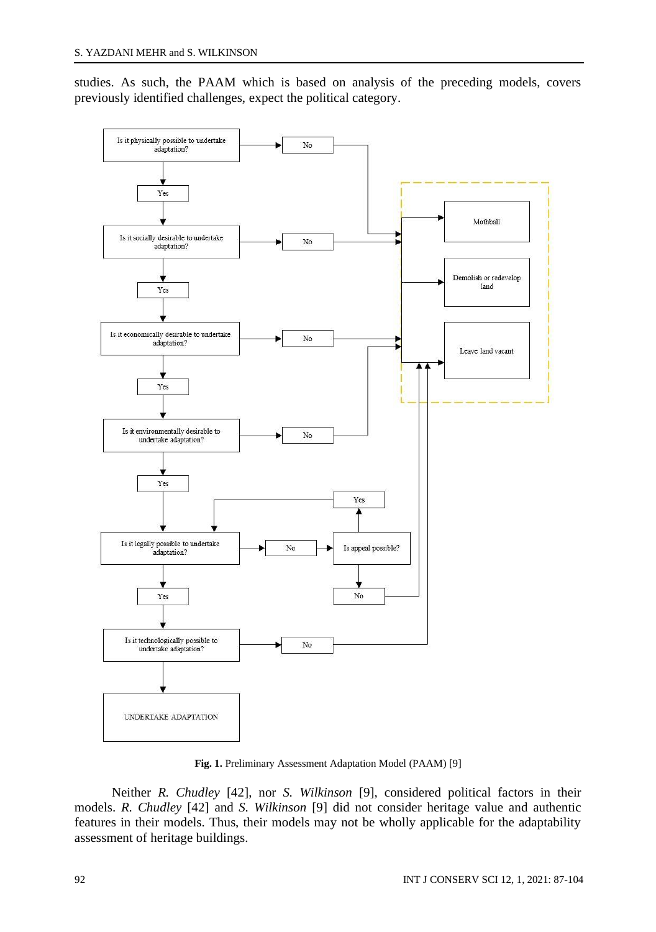studies. As such, the PAAM which is based on analysis of the preceding models, covers previously identified challenges, expect the political category.



**Fig. 1.** Preliminary Assessment Adaptation Model (PAAM) [9]

Neither *R. Chudley* [42], nor *S. Wilkinson* [9], considered political factors in their models. *R. Chudley* [42] and *S. Wilkinson* [9] did not consider heritage value and authentic features in their models. Thus, their models may not be wholly applicable for the adaptability assessment of heritage buildings.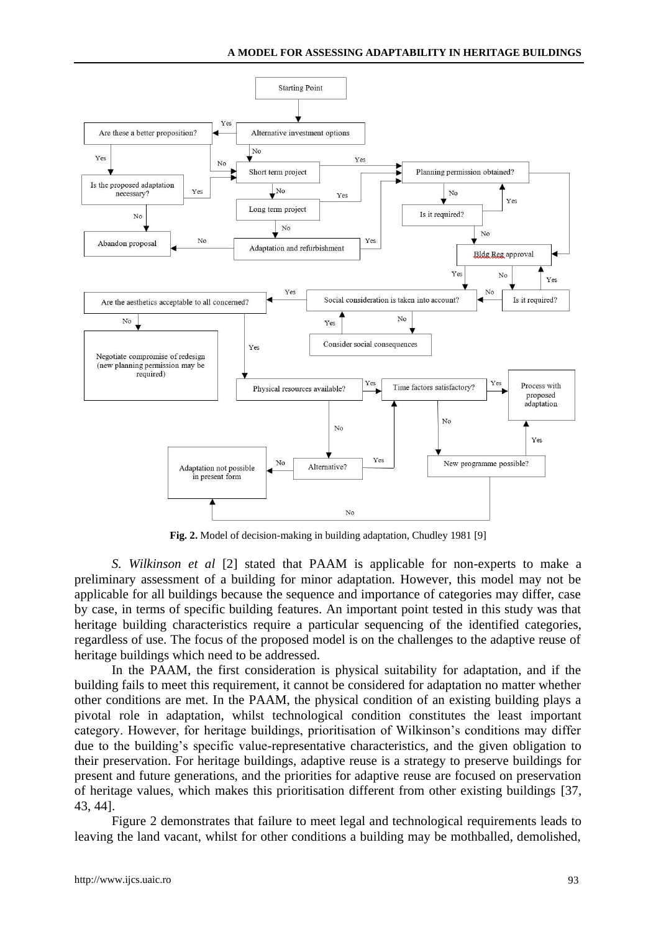

**Fig. 2.** Model of decision-making in building adaptation, Chudley 1981 [9]

*S. Wilkinson et al* [2] stated that PAAM is applicable for non-experts to make a preliminary assessment of a building for minor adaptation. However, this model may not be applicable for all buildings because the sequence and importance of categories may differ, case by case, in terms of specific building features. An important point tested in this study was that heritage building characteristics require a particular sequencing of the identified categories, regardless of use. The focus of the proposed model is on the challenges to the adaptive reuse of heritage buildings which need to be addressed.

In the PAAM, the first consideration is physical suitability for adaptation, and if the building fails to meet this requirement, it cannot be considered for adaptation no matter whether other conditions are met. In the PAAM, the physical condition of an existing building plays a pivotal role in adaptation, whilst technological condition constitutes the least important category. However, for heritage buildings, prioritisation of Wilkinson's conditions may differ due to the building's specific value-representative characteristics, and the given obligation to their preservation. For heritage buildings, adaptive reuse is a strategy to preserve buildings for present and future generations, and the priorities for adaptive reuse are focused on preservation of heritage values, which makes this prioritisation different from other existing buildings [37, 43, 44].

Figure 2 demonstrates that failure to meet legal and technological requirements leads to leaving the land vacant, whilst for other conditions a building may be mothballed, demolished,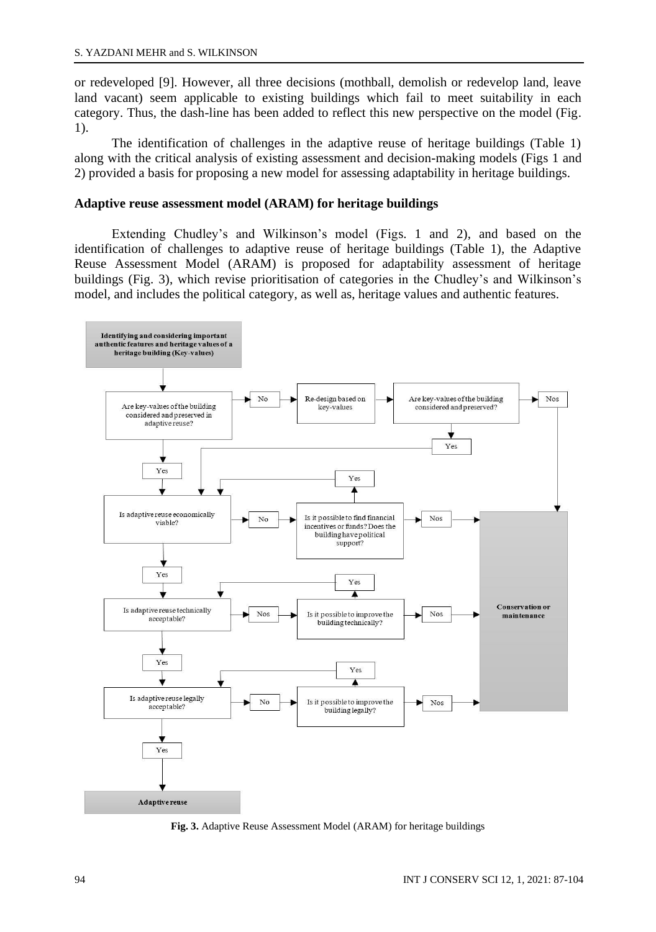or redeveloped [9]. However, all three decisions (mothball, demolish or redevelop land, leave land vacant) seem applicable to existing buildings which fail to meet suitability in each category. Thus, the dash-line has been added to reflect this new perspective on the model (Fig. 1).

The identification of challenges in the adaptive reuse of heritage buildings (Table 1) along with the critical analysis of existing assessment and decision-making models (Figs 1 and 2) provided a basis for proposing a new model for assessing adaptability in heritage buildings.

#### **Adaptive reuse assessment model (ARAM) for heritage buildings**

Extending Chudley's and Wilkinson's model (Figs. 1 and 2), and based on the identification of challenges to adaptive reuse of heritage buildings (Table 1), the Adaptive Reuse Assessment Model (ARAM) is proposed for adaptability assessment of heritage buildings (Fig. 3), which revise prioritisation of categories in the Chudley's and Wilkinson's model, and includes the political category, as well as, heritage values and authentic features.



**Fig. 3.** Adaptive Reuse Assessment Model (ARAM) for heritage buildings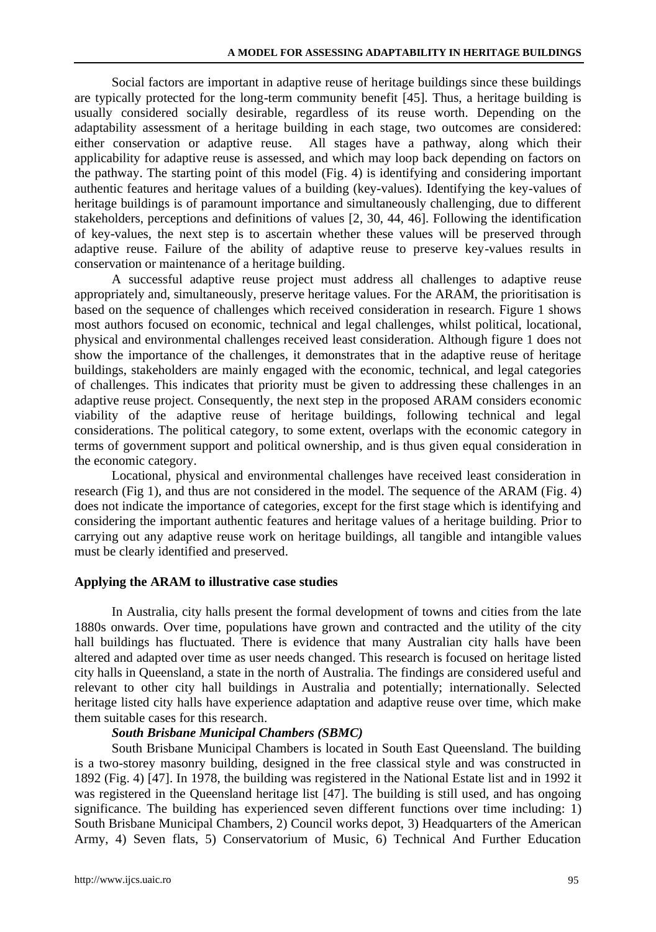Social factors are important in adaptive reuse of heritage buildings since these buildings are typically protected for the long-term community benefit [45]. Thus, a heritage building is usually considered socially desirable, regardless of its reuse worth. Depending on the adaptability assessment of a heritage building in each stage, two outcomes are considered: either conservation or adaptive reuse. All stages have a pathway, along which their applicability for adaptive reuse is assessed, and which may loop back depending on factors on the pathway. The starting point of this model (Fig. 4) is identifying and considering important authentic features and heritage values of a building (key-values). Identifying the key-values of heritage buildings is of paramount importance and simultaneously challenging, due to different stakeholders, perceptions and definitions of values [2, 30, 44, 46]. Following the identification of key-values, the next step is to ascertain whether these values will be preserved through adaptive reuse. Failure of the ability of adaptive reuse to preserve key-values results in conservation or maintenance of a heritage building.

A successful adaptive reuse project must address all challenges to adaptive reuse appropriately and, simultaneously, preserve heritage values. For the ARAM, the prioritisation is based on the sequence of challenges which received consideration in research. Figure 1 shows most authors focused on economic, technical and legal challenges, whilst political, locational, physical and environmental challenges received least consideration. Although figure 1 does not show the importance of the challenges, it demonstrates that in the adaptive reuse of heritage buildings, stakeholders are mainly engaged with the economic, technical, and legal categories of challenges. This indicates that priority must be given to addressing these challenges in an adaptive reuse project. Consequently, the next step in the proposed ARAM considers economic viability of the adaptive reuse of heritage buildings, following technical and legal considerations. The political category, to some extent, overlaps with the economic category in terms of government support and political ownership, and is thus given equal consideration in the economic category.

Locational, physical and environmental challenges have received least consideration in research (Fig 1), and thus are not considered in the model. The sequence of the ARAM (Fig. 4) does not indicate the importance of categories, except for the first stage which is identifying and considering the important authentic features and heritage values of a heritage building. Prior to carrying out any adaptive reuse work on heritage buildings, all tangible and intangible values must be clearly identified and preserved.

#### **Applying the ARAM to illustrative case studies**

In Australia, city halls present the formal development of towns and cities from the late 1880s onwards. Over time, populations have grown and contracted and the utility of the city hall buildings has fluctuated. There is evidence that many Australian city halls have been altered and adapted over time as user needs changed. This research is focused on heritage listed city halls in Queensland, a state in the north of Australia. The findings are considered useful and relevant to other city hall buildings in Australia and potentially; internationally. Selected heritage listed city halls have experience adaptation and adaptive reuse over time, which make them suitable cases for this research.

### *South Brisbane Municipal Chambers (SBMC)*

South Brisbane Municipal Chambers is located in South East Queensland. The building is a two-storey masonry building, designed in the free classical style and was constructed in 1892 (Fig. 4) [47]. In 1978, the building was registered in the National Estate list and in 1992 it was registered in the Queensland heritage list [47]. The building is still used, and has ongoing significance. The building has experienced seven different functions over time including: 1) South Brisbane Municipal Chambers, 2) Council works depot, 3) Headquarters of the American Army, 4) Seven flats, 5) Conservatorium of Music, 6) Technical And Further Education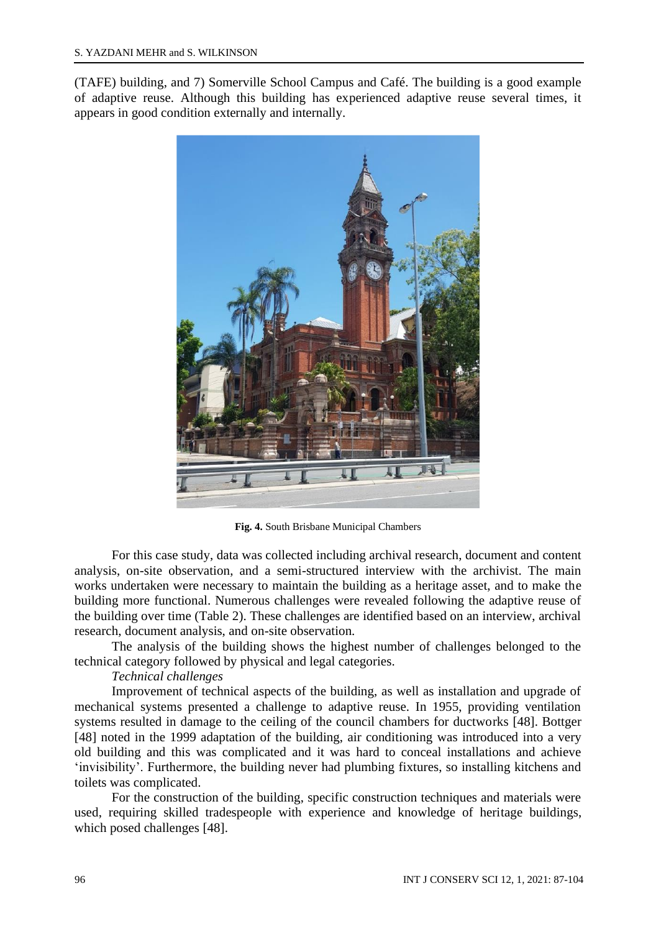(TAFE) building, and 7) Somerville School Campus and Café. The building is a good example of adaptive reuse. Although this building has experienced adaptive reuse several times, it appears in good condition externally and internally.



**Fig. 4.** South Brisbane Municipal Chambers

For this case study, data was collected including archival research, document and content analysis, on-site observation, and a semi-structured interview with the archivist. The main works undertaken were necessary to maintain the building as a heritage asset, and to make the building more functional. Numerous challenges were revealed following the adaptive reuse of the building over time (Table 2). These challenges are identified based on an interview, archival research, document analysis, and on-site observation.

The analysis of the building shows the highest number of challenges belonged to the technical category followed by physical and legal categories.

## *Technical challenges*

Improvement of technical aspects of the building, as well as installation and upgrade of mechanical systems presented a challenge to adaptive reuse. In 1955, providing ventilation systems resulted in damage to the ceiling of the council chambers for ductworks [48]. Bottger [48] noted in the 1999 adaptation of the building, air conditioning was introduced into a very old building and this was complicated and it was hard to conceal installations and achieve 'invisibility'. Furthermore, the building never had plumbing fixtures, so installing kitchens and toilets was complicated.

For the construction of the building, specific construction techniques and materials were used, requiring skilled tradespeople with experience and knowledge of heritage buildings, which posed challenges [48].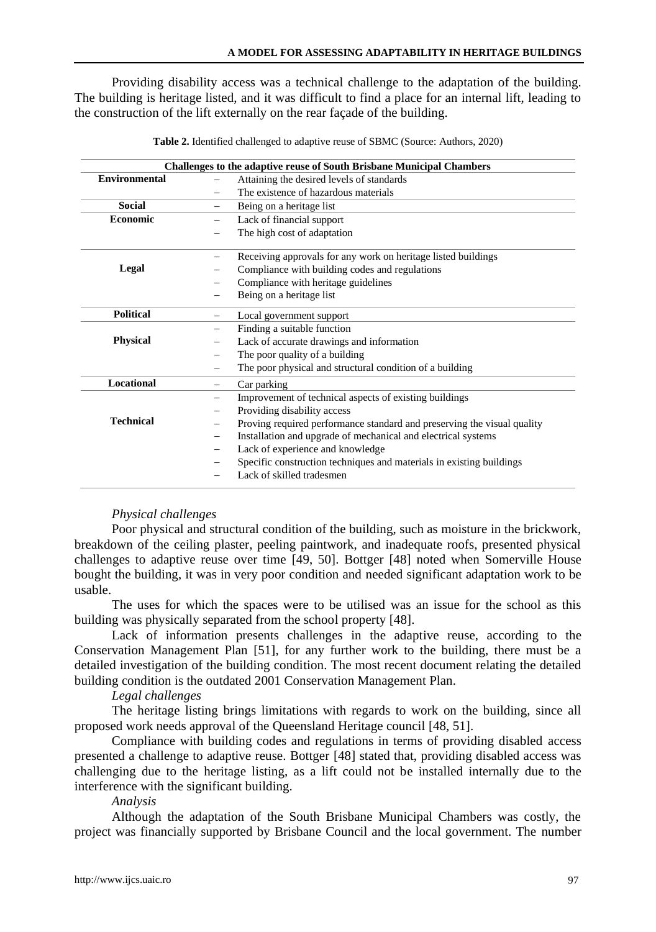Providing disability access was a technical challenge to the adaptation of the building. The building is heritage listed, and it was difficult to find a place for an internal lift, leading to the construction of the lift externally on the rear façade of the building.

| <b>Challenges to the adaptive reuse of South Brisbane Municipal Chambers</b> |                                                                         |  |
|------------------------------------------------------------------------------|-------------------------------------------------------------------------|--|
| Environmental                                                                | Attaining the desired levels of standards                               |  |
|                                                                              | The existence of hazardous materials                                    |  |
| <b>Social</b>                                                                | Being on a heritage list                                                |  |
| <b>Economic</b>                                                              | Lack of financial support                                               |  |
|                                                                              | The high cost of adaptation                                             |  |
|                                                                              | Receiving approvals for any work on heritage listed buildings           |  |
| Legal                                                                        | Compliance with building codes and regulations                          |  |
|                                                                              | Compliance with heritage guidelines                                     |  |
|                                                                              | Being on a heritage list                                                |  |
| <b>Political</b>                                                             | Local government support                                                |  |
|                                                                              | Finding a suitable function                                             |  |
| <b>Physical</b>                                                              | Lack of accurate drawings and information                               |  |
|                                                                              | The poor quality of a building                                          |  |
|                                                                              | The poor physical and structural condition of a building                |  |
| <b>Locational</b>                                                            | Car parking                                                             |  |
|                                                                              | Improvement of technical aspects of existing buildings                  |  |
|                                                                              | Providing disability access                                             |  |
| <b>Technical</b>                                                             | Proving required performance standard and preserving the visual quality |  |
|                                                                              | Installation and upgrade of mechanical and electrical systems           |  |
|                                                                              | Lack of experience and knowledge                                        |  |
|                                                                              | Specific construction techniques and materials in existing buildings    |  |
|                                                                              | Lack of skilled tradesmen                                               |  |

**Table 2.** Identified challenged to adaptive reuse of SBMC (Source: Authors, 2020)

### *Physical challenges*

Poor physical and structural condition of the building, such as moisture in the brickwork, breakdown of the ceiling plaster, peeling paintwork, and inadequate roofs, presented physical challenges to adaptive reuse over time [49, 50]. Bottger [48] noted when Somerville House bought the building, it was in very poor condition and needed significant adaptation work to be usable.

The uses for which the spaces were to be utilised was an issue for the school as this building was physically separated from the school property [48].

Lack of information presents challenges in the adaptive reuse, according to the Conservation Management Plan [51], for any further work to the building, there must be a detailed investigation of the building condition. The most recent document relating the detailed building condition is the outdated 2001 Conservation Management Plan.

#### *Legal challenges*

The heritage listing brings limitations with regards to work on the building, since all proposed work needs approval of the Queensland Heritage council [48, 51].

Compliance with building codes and regulations in terms of providing disabled access presented a challenge to adaptive reuse. Bottger [48] stated that, providing disabled access was challenging due to the heritage listing, as a lift could not be installed internally due to the interference with the significant building.

### *Analysis*

Although the adaptation of the South Brisbane Municipal Chambers was costly, the project was financially supported by Brisbane Council and the local government. The number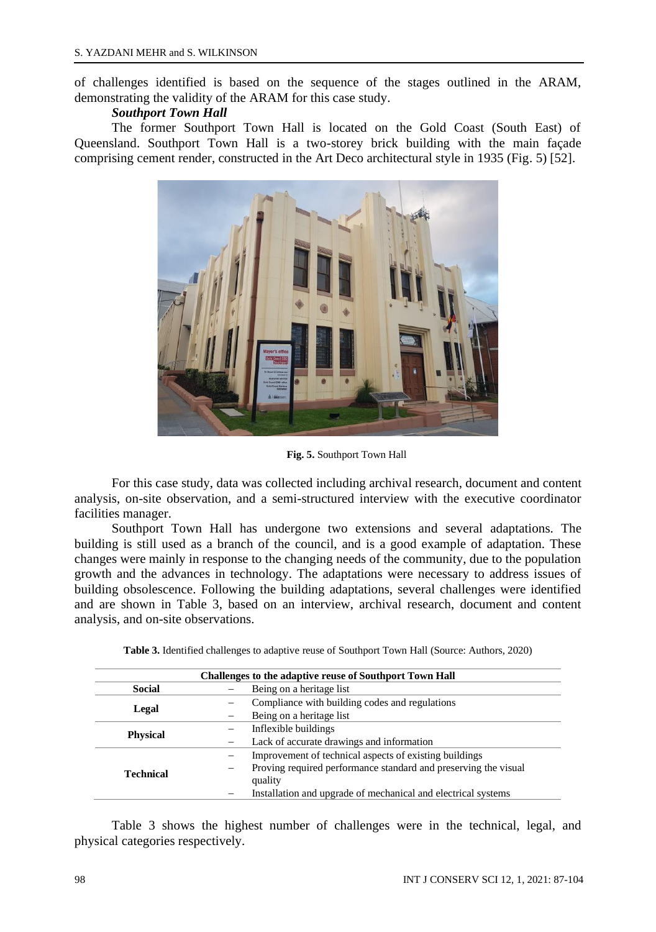of challenges identified is based on the sequence of the stages outlined in the ARAM, demonstrating the validity of the ARAM for this case study.

### *Southport Town Hall*

The former Southport Town Hall is located on the Gold Coast (South East) of Queensland. Southport Town Hall is a two-storey brick building with the main façade comprising cement render, constructed in the Art Deco architectural style in 1935 (Fig. 5) [52].



**Fig. 5.** Southport Town Hall

For this case study, data was collected including archival research, document and content analysis, on-site observation, and a semi-structured interview with the executive coordinator facilities manager.

Southport Town Hall has undergone two extensions and several adaptations. The building is still used as a branch of the council, and is a good example of adaptation. These changes were mainly in response to the changing needs of the community, due to the population growth and the advances in technology. The adaptations were necessary to address issues of building obsolescence. Following the building adaptations, several challenges were identified and are shown in Table 3, based on an interview, archival research, document and content analysis, and on-site observations.

| <b>Challenges to the adaptive reuse of Southport Town Hall</b> |                                                                 |  |
|----------------------------------------------------------------|-----------------------------------------------------------------|--|
| Social                                                         | Being on a heritage list                                        |  |
| Legal                                                          | Compliance with building codes and regulations                  |  |
|                                                                | Being on a heritage list                                        |  |
|                                                                | Inflexible buildings                                            |  |
| <b>Physical</b>                                                | Lack of accurate drawings and information                       |  |
|                                                                | Improvement of technical aspects of existing buildings          |  |
| <b>Technical</b>                                               | Proving required performance standard and preserving the visual |  |
|                                                                | quality                                                         |  |
|                                                                | Installation and upgrade of mechanical and electrical systems   |  |

**Table 3.** Identified challenges to adaptive reuse of Southport Town Hall (Source: Authors, 2020)

Table 3 shows the highest number of challenges were in the technical, legal, and physical categories respectively.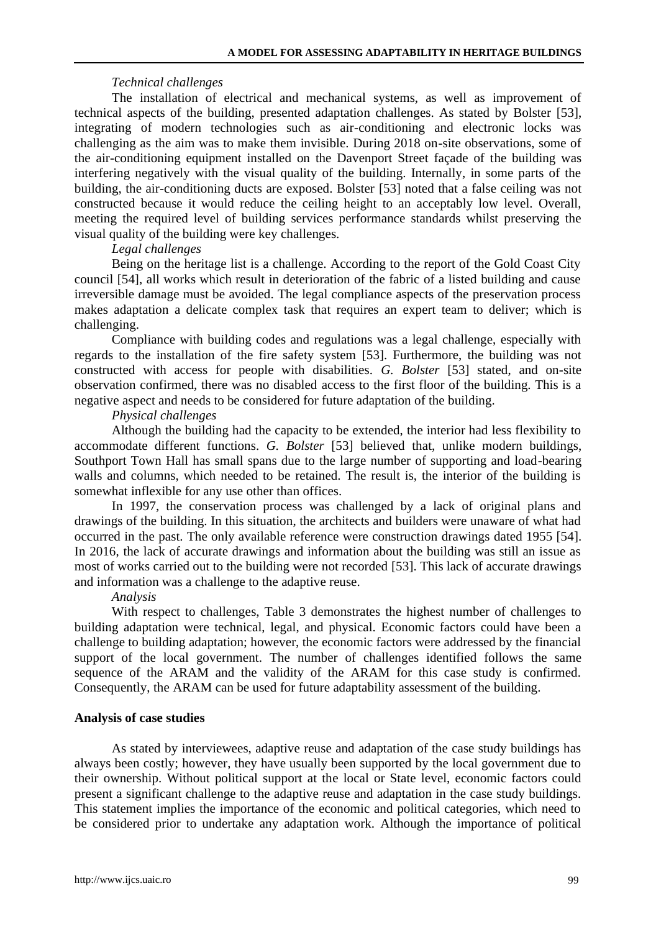### *Technical challenges*

The installation of electrical and mechanical systems, as well as improvement of technical aspects of the building, presented adaptation challenges. As stated by Bolster [53], integrating of modern technologies such as air-conditioning and electronic locks was challenging as the aim was to make them invisible. During 2018 on-site observations, some of the air-conditioning equipment installed on the Davenport Street façade of the building was interfering negatively with the visual quality of the building. Internally, in some parts of the building, the air-conditioning ducts are exposed. Bolster [53] noted that a false ceiling was not constructed because it would reduce the ceiling height to an acceptably low level. Overall, meeting the required level of building services performance standards whilst preserving the visual quality of the building were key challenges.

### *Legal challenges*

Being on the heritage list is a challenge. According to the report of the Gold Coast City council [54], all works which result in deterioration of the fabric of a listed building and cause irreversible damage must be avoided. The legal compliance aspects of the preservation process makes adaptation a delicate complex task that requires an expert team to deliver; which is challenging.

Compliance with building codes and regulations was a legal challenge, especially with regards to the installation of the fire safety system [53]. Furthermore, the building was not constructed with access for people with disabilities. *G. Bolster* [53] stated, and on-site observation confirmed, there was no disabled access to the first floor of the building. This is a negative aspect and needs to be considered for future adaptation of the building.

### *Physical challenges*

Although the building had the capacity to be extended, the interior had less flexibility to accommodate different functions. *G. Bolster* [53] believed that, unlike modern buildings, Southport Town Hall has small spans due to the large number of supporting and load-bearing walls and columns, which needed to be retained. The result is, the interior of the building is somewhat inflexible for any use other than offices.

In 1997, the conservation process was challenged by a lack of original plans and drawings of the building. In this situation, the architects and builders were unaware of what had occurred in the past. The only available reference were construction drawings dated 1955 [54]. In 2016, the lack of accurate drawings and information about the building was still an issue as most of works carried out to the building were not recorded [53]. This lack of accurate drawings and information was a challenge to the adaptive reuse.

### *Analysis*

With respect to challenges, Table 3 demonstrates the highest number of challenges to building adaptation were technical, legal, and physical. Economic factors could have been a challenge to building adaptation; however, the economic factors were addressed by the financial support of the local government. The number of challenges identified follows the same sequence of the ARAM and the validity of the ARAM for this case study is confirmed. Consequently, the ARAM can be used for future adaptability assessment of the building.

### **Analysis of case studies**

As stated by interviewees, adaptive reuse and adaptation of the case study buildings has always been costly; however, they have usually been supported by the local government due to their ownership. Without political support at the local or State level, economic factors could present a significant challenge to the adaptive reuse and adaptation in the case study buildings. This statement implies the importance of the economic and political categories, which need to be considered prior to undertake any adaptation work. Although the importance of political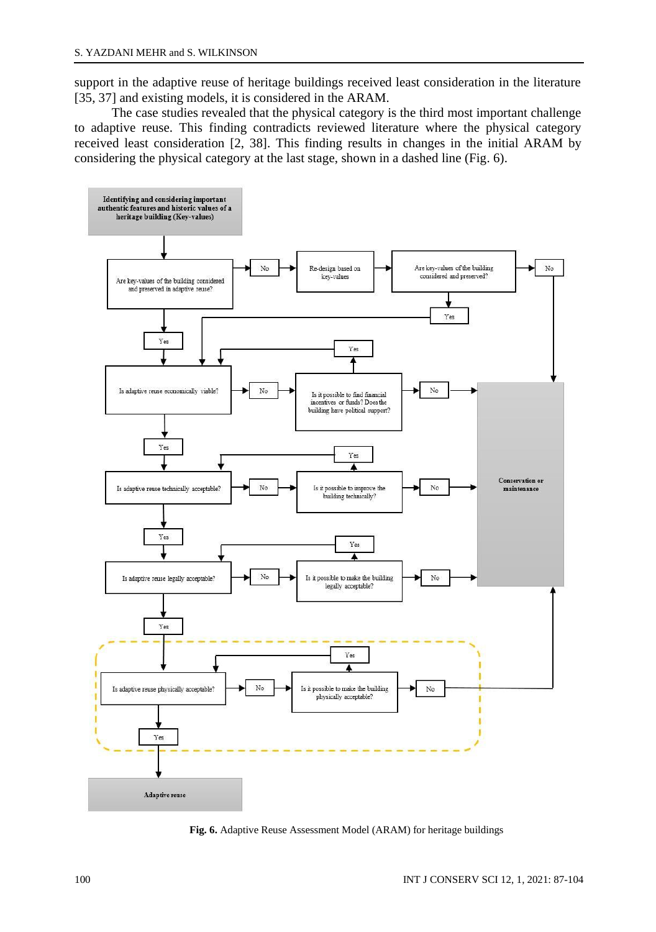support in the adaptive reuse of heritage buildings received least consideration in the literature [35, 37] and existing models, it is considered in the ARAM.

The case studies revealed that the physical category is the third most important challenge to adaptive reuse. This finding contradicts reviewed literature where the physical category received least consideration [2, 38]. This finding results in changes in the initial ARAM by considering the physical category at the last stage, shown in a dashed line (Fig. 6).



**Fig. 6.** Adaptive Reuse Assessment Model (ARAM) for heritage buildings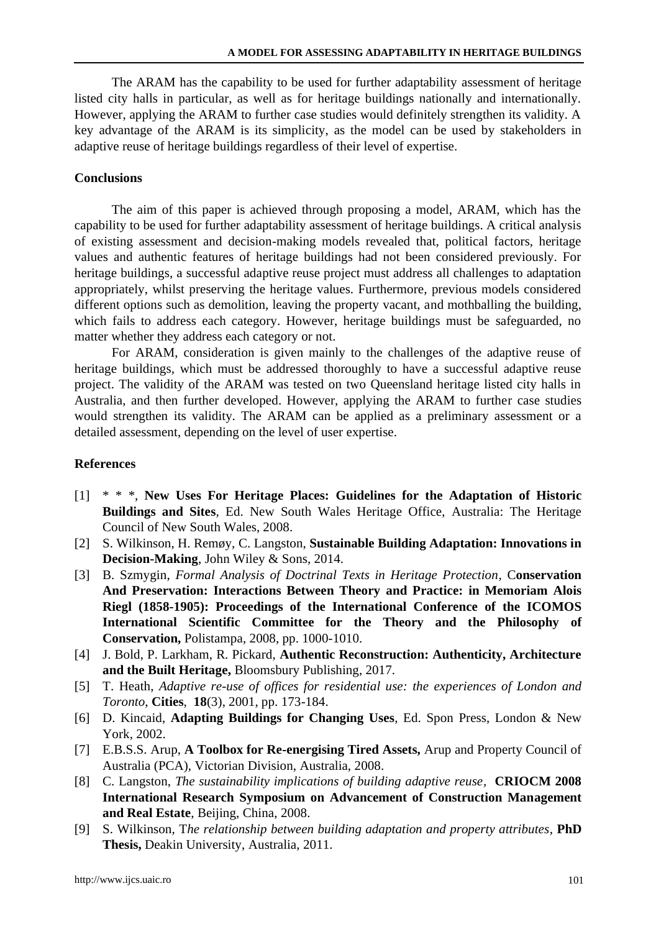The ARAM has the capability to be used for further adaptability assessment of heritage listed city halls in particular, as well as for heritage buildings nationally and internationally. However, applying the ARAM to further case studies would definitely strengthen its validity. A key advantage of the ARAM is its simplicity, as the model can be used by stakeholders in adaptive reuse of heritage buildings regardless of their level of expertise.

### **Conclusions**

The aim of this paper is achieved through proposing a model, ARAM, which has the capability to be used for further adaptability assessment of heritage buildings. A critical analysis of existing assessment and decision-making models revealed that, political factors, heritage values and authentic features of heritage buildings had not been considered previously. For heritage buildings, a successful adaptive reuse project must address all challenges to adaptation appropriately, whilst preserving the heritage values. Furthermore, previous models considered different options such as demolition, leaving the property vacant, and mothballing the building, which fails to address each category. However, heritage buildings must be safeguarded, no matter whether they address each category or not.

For ARAM, consideration is given mainly to the challenges of the adaptive reuse of heritage buildings, which must be addressed thoroughly to have a successful adaptive reuse project. The validity of the ARAM was tested on two Queensland heritage listed city halls in Australia, and then further developed. However, applying the ARAM to further case studies would strengthen its validity. The ARAM can be applied as a preliminary assessment or a detailed assessment, depending on the level of user expertise.

### **References**

- [1] \* \* \*, **New Uses For Heritage Places: Guidelines for the Adaptation of Historic Buildings and Sites**, Ed. New South Wales Heritage Office, Australia: The Heritage Council of New South Wales, 2008.
- [2] S. Wilkinson, H. Remøy, C. Langston, **Sustainable Building Adaptation: Innovations in Decision-Making**, John Wiley & Sons, 2014.
- [3] B. Szmygin, *Formal Analysis of Doctrinal Texts in Heritage Protection,* C**onservation And Preservation: Interactions Between Theory and Practice: in Memoriam Alois Riegl (1858-1905): Proceedings of the International Conference of the ICOMOS International Scientific Committee for the Theory and the Philosophy of Conservation,** Polistampa, 2008, pp. 1000-1010.
- [4] J. Bold, P. Larkham, R. Pickard, **Authentic Reconstruction: Authenticity, Architecture and the Built Heritage,** Bloomsbury Publishing, 2017.
- [5] T. Heath, *Adaptive re-use of offices for residential use: the experiences of London and Toronto*, **Cities**, **18**(3), 2001, pp. 173-184.
- [6] D. Kincaid, **Adapting Buildings for Changing Uses**, Ed. Spon Press, London & New York, 2002.
- [7] E.B.S.S. Arup, **A Toolbox for Re-energising Tired Assets,** Arup and Property Council of Australia (PCA), Victorian Division, Australia, 2008.
- [8] C. Langston, *The sustainability implications of building adaptive reuse,* **CRIOCM 2008 International Research Symposium on Advancement of Construction Management and Real Estate**, Beijing, China, 2008.
- [9] S. Wilkinson, T*he relationship between building adaptation and property attributes*, **PhD Thesis,** Deakin University, Australia, 2011.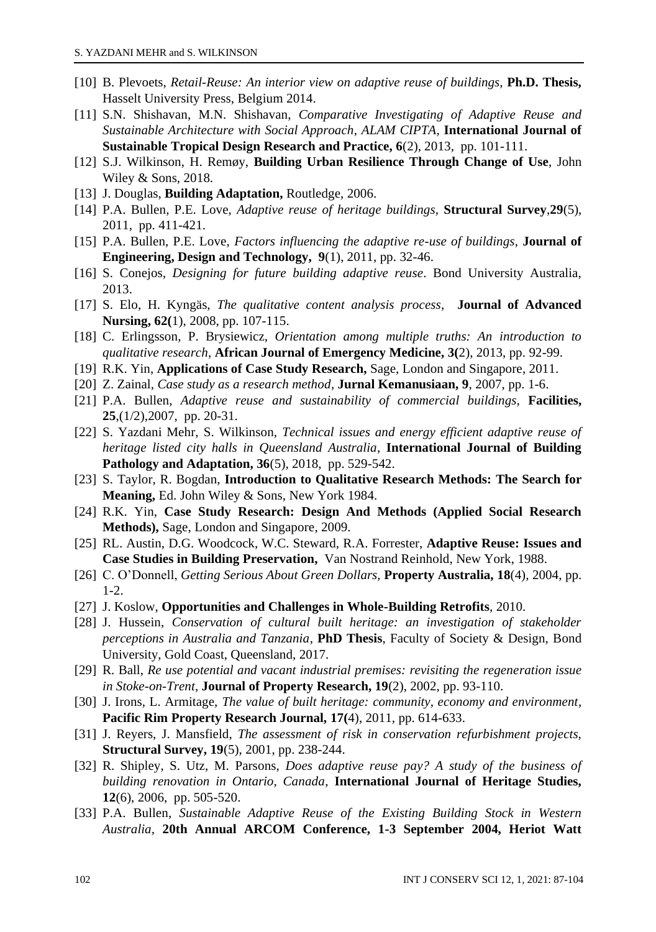- [10] B. Plevoets, *Retail-Reuse: An interior view on adaptive reuse of buildings*, **Ph.D. Thesis,** Hasselt University Press, Belgium 2014.
- [11] S.N. Shishavan, M.N. Shishavan, *Comparative Investigating of Adaptive Reuse and Sustainable Architecture with Social Approach*, *ALAM CIPTA*, **International Journal of Sustainable Tropical Design Research and Practice, 6**(2), 2013, pp. 101-111.
- [12] S.J. Wilkinson, H. Remøy, **Building Urban Resilience Through Change of Use**, John Wiley & Sons, 2018.
- [13] J. Douglas, **Building Adaptation,** Routledge, 2006.
- [14] P.A. Bullen, P.E. Love, *Adaptive reuse of heritage buildings*, **Structural Survey**,**29**(5), 2011, pp. 411-421.
- [15] P.A. Bullen, P.E. Love, *Factors influencing the adaptive re-use of buildings*, **Journal of Engineering, Design and Technology, 9**(1), 2011, pp. 32-46.
- [16] S. Conejos, *Designing for future building adaptive reuse*. Bond University Australia, 2013.
- [17] S. Elo, H. Kyngäs, *The qualitative content analysis process,* **Journal of Advanced Nursing, 62(**1), 2008, pp. 107-115.
- [18] C. Erlingsson, P. Brysiewicz, *Orientation among multiple truths: An introduction to qualitative research*, **African Journal of Emergency Medicine, 3(**2), 2013, pp. 92-99.
- [19] R.K. Yin, **Applications of Case Study Research,** Sage, London and Singapore, 2011.
- [20] Z. Zainal, *Case study as a research method*, **Jurnal Kemanusiaan, 9**, 2007, pp. 1-6.
- [21] P.A. Bullen, *Adaptive reuse and sustainability of commercial buildings,* **Facilities, 25**,(1/2),2007, pp. 20-31.
- [22] S. Yazdani Mehr, S. Wilkinson, *Technical issues and energy efficient adaptive reuse of heritage listed city halls in Queensland Australia*, **International Journal of Building Pathology and Adaptation, 36**(5), 2018, pp. 529-542.
- [23] S. Taylor, R. Bogdan, **Introduction to Qualitative Research Methods: The Search for Meaning,** Ed. John Wiley & Sons, New York 1984.
- [24] R.K. Yin, **Case Study Research: Design And Methods (Applied Social Research Methods),** Sage, London and Singapore, 2009.
- [25] RL. Austin, D.G. Woodcock, W.C. Steward, R.A. Forrester, **Adaptive Reuse: Issues and Case Studies in Building Preservation,** Van Nostrand Reinhold, New York, 1988.
- [26] C. O'Donnell, *Getting Serious About Green Dollars,* **Property Australia, 18**(4), 2004, pp. 1-2.
- [27] J. Koslow, **Opportunities and Challenges in Whole-Building Retrofits**, 2010.
- [28] J. Hussein, *Conservation of cultural built heritage: an investigation of stakeholder perceptions in Australia and Tanzania*, **PhD Thesis**, Faculty of Society & Design, Bond University, Gold Coast, Queensland, 2017.
- [29] R. Ball, *Re use potential and vacant industrial premises: revisiting the regeneration issue in Stoke-on-Trent*, **Journal of Property Research, 19**(2), 2002, pp. 93-110.
- [30] J. Irons, L. Armitage, *The value of built heritage: community, economy and environment*, **Pacific Rim Property Research Journal, 17(**4), 2011, pp. 614-633.
- [31] J. Reyers, J. Mansfield, *The assessment of risk in conservation refurbishment projects,*  **Structural Survey, 19**(5), 2001, pp. 238-244.
- [32] R. Shipley, S. Utz, M. Parsons, *Does adaptive reuse pay? A study of the business of building renovation in Ontario, Canada*, **International Journal of Heritage Studies, 12**(6), 2006, pp. 505-520.
- [33] P.A. Bullen, *Sustainable Adaptive Reuse of the Existing Building Stock in Western Australia,* **20th Annual ARCOM Conference, 1-3 September 2004, Heriot Watt**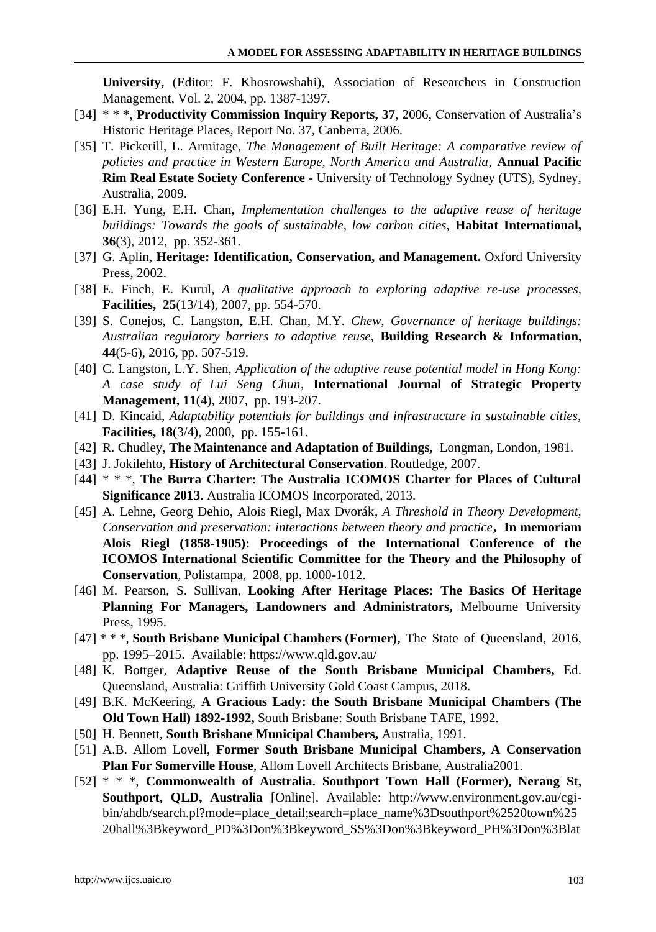**University,** (Editor: F. Khosrowshahi), Association of Researchers in Construction Management, Vol. 2, 2004, pp. 1387-1397.

- [34] \* \* \*, **Productivity Commission Inquiry Reports, 37**, 2006, Conservation of Australia's Historic Heritage Places, Report No. 37, Canberra, 2006.
- [35] T. Pickerill, L. Armitage, *The Management of Built Heritage: A comparative review of policies and practice in Western Europe, North America and Australia*, **Annual Pacific Rim Real Estate Society Conference** - University of Technology Sydney (UTS), Sydney, Australia, 2009.
- [36] E.H. Yung, E.H. Chan, *Implementation challenges to the adaptive reuse of heritage buildings: Towards the goals of sustainable, low carbon cities,* **Habitat International, 36**(3), 2012, pp. 352-361.
- [37] G. Aplin, **Heritage: Identification, Conservation, and Management.** Oxford University Press, 2002.
- [38] E. Finch, E. Kurul, *A qualitative approach to exploring adaptive re-use processes,*  **Facilities, 25**(13/14), 2007, pp. 554-570.
- [39] S. Conejos, C. Langston, E.H. Chan, M.Y. *Chew, Governance of heritage buildings: Australian regulatory barriers to adaptive reuse,* **Building Research & Information, 44**(5-6), 2016, pp. 507-519.
- [40] C. Langston, L.Y. Shen, *Application of the adaptive reuse potential model in Hong Kong: A case study of Lui Seng Chun*, **International Journal of Strategic Property Management, 11**(4), 2007, pp. 193-207.
- [41] D. Kincaid, *Adaptability potentials for buildings and infrastructure in sustainable cities,* **Facilities, 18**(3/4), 2000, pp. 155-161.
- [42] R. Chudley, **The Maintenance and Adaptation of Buildings,** Longman, London, 1981.
- [43] J. Jokilehto, **History of Architectural Conservation**. Routledge, 2007.
- [44] \* \* \*, **The Burra Charter: The Australia ICOMOS Charter for Places of Cultural Significance 2013**. Australia ICOMOS Incorporated, 2013.
- [45] A. Lehne, Georg Dehio, Alois Riegl, Max Dvorák, *A Threshold in Theory Development, Conservation and preservation: interactions between theory and practice***, In memoriam Alois Riegl (1858-1905): Proceedings of the International Conference of the ICOMOS International Scientific Committee for the Theory and the Philosophy of Conservation**, Polistampa, 2008, pp. 1000-1012.
- [46] M. Pearson, S. Sullivan, **Looking After Heritage Places: The Basics Of Heritage Planning For Managers, Landowners and Administrators,** Melbourne University Press, 1995.
- [47] \* \* \*, **South Brisbane Municipal Chambers (Former),** The State of Queensland, 2016, pp. 1995–2015. Available[: https://www.qld.gov.au/](https://www.qld.gov.au/)
- [48] K. Bottger, **Adaptive Reuse of the South Brisbane Municipal Chambers,** Ed. Queensland, Australia: Griffith University Gold Coast Campus, 2018.
- [49] B.K. McKeering, **A Gracious Lady: the South Brisbane Municipal Chambers (The Old Town Hall) 1892-1992,** South Brisbane: South Brisbane TAFE, 1992.
- [50] H. Bennett, **South Brisbane Municipal Chambers,** Australia, 1991.
- [51] A.B. Allom Lovell, **Former South Brisbane Municipal Chambers, A Conservation Plan For Somerville House**, Allom Lovell Architects Brisbane, Australia2001.
- [52] \* \* \*, **Commonwealth of Australia. Southport Town Hall (Former), Nerang St, Southport, QLD, Australia** [Online]. Available: [http://www.environment.gov.au/cgi](http://www.environment.gov.au/cgi-bin/ahdb/search.pl?mode=place_detail;search=place_name%3Dsouthport%2520town%2520hall%3Bkeyword_PD%3Don%3Bkeyword_SS%3Don%3Bkeyword_PH%3Don%3Blatitude_1dir%3DS%3Blongitude_1dir%3DE%3Blongitude_2dir%3DE%3Blatitude_2dir%3DS%3Bin_region%3Dpart;place_id=19947)[bin/ahdb/search.pl?mode=place\\_detail;search=place\\_name%3Dsouthport%2520town%25](http://www.environment.gov.au/cgi-bin/ahdb/search.pl?mode=place_detail;search=place_name%3Dsouthport%2520town%2520hall%3Bkeyword_PD%3Don%3Bkeyword_SS%3Don%3Bkeyword_PH%3Don%3Blatitude_1dir%3DS%3Blongitude_1dir%3DE%3Blongitude_2dir%3DE%3Blatitude_2dir%3DS%3Bin_region%3Dpart;place_id=19947) [20hall%3Bkeyword\\_PD%3Don%3Bkeyword\\_SS%3Don%3Bkeyword\\_PH%3Don%3Blat](http://www.environment.gov.au/cgi-bin/ahdb/search.pl?mode=place_detail;search=place_name%3Dsouthport%2520town%2520hall%3Bkeyword_PD%3Don%3Bkeyword_SS%3Don%3Bkeyword_PH%3Don%3Blatitude_1dir%3DS%3Blongitude_1dir%3DE%3Blongitude_2dir%3DE%3Blatitude_2dir%3DS%3Bin_region%3Dpart;place_id=19947)